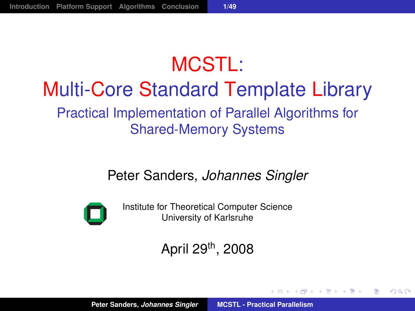## MCSTL: Multi-Core Standard Template Library Practical Implementation of Parallel Algorithms for Shared-Memory Systems

#### Peter Sanders, *Johannes Singler*



Institute for Theoretical Computer Science University of Karlsruhe

#### April 29th, 2008

(御) (唐) (唐))

<span id="page-0-0"></span>重  $2Q$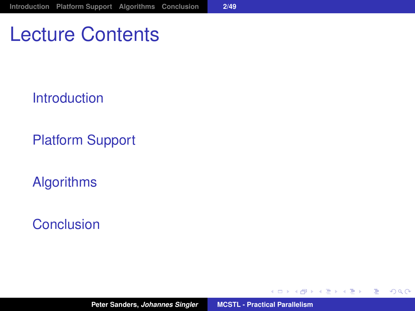Lecture Contents

[Introduction](#page-2-0)

[Platform Support](#page-17-0)

[Algorithms](#page-23-0)

[Conclusion](#page-56-0)

**Peter Sanders,** *Johannes Singler* **[MCSTL - Practical Parallelism](#page-0-0)**

す 御 メ イ 重 メ オ 重 メー

4 0 8

<span id="page-1-0"></span>重。  $2Q$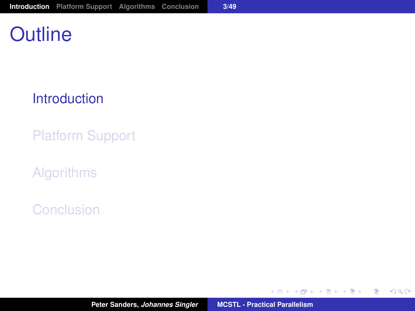## **Outline**

#### [Introduction](#page-2-0)

[Platform Support](#page-17-0)

[Algorithms](#page-23-0)

[Conclusion](#page-56-0)

イロメ イ部メ イヨメ イヨメー

<span id="page-2-0"></span>重。  $298$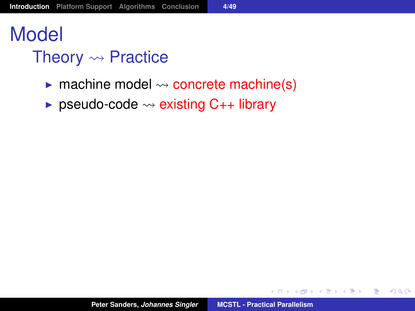# Model

## Theory  $\rightsquigarrow$  Practice

- $\blacktriangleright$  machine model  $\rightsquigarrow$  concrete machine(s)
- ► pseudo-code  $\rightsquigarrow$  existing C<sub>++</sub> library

イロメ イ団メ イヨメ イヨメー

<span id="page-3-0"></span>●○  $2Q$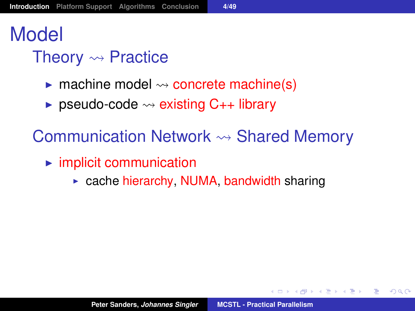# Model

## Theory  $\rightsquigarrow$  Practice

- $\triangleright$  machine model  $\rightsquigarrow$  concrete machine(s)
- **Example 3** pseudo-code  $\rightsquigarrow$  existing C<sub>++</sub> library

Communication Network  $\rightsquigarrow$  Shared Memory

- $\blacktriangleright$  implicit communication
	- $\triangleright$  cache hierarchy, NUMA, bandwidth sharing

す 御 メ イ 重 メ イ 重 メー

<span id="page-4-0"></span>重  $2Q$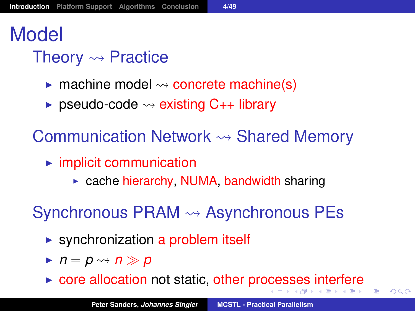# Model

## Theory  $\rightsquigarrow$  Practice

- $\triangleright$  machine model  $\rightsquigarrow$  concrete machine(s)
- **Example 3** pseudo-code  $\rightsquigarrow$  existing C<sub>++</sub> library

Communication Network  $\rightsquigarrow$  Shared Memory

- $\blacktriangleright$  implicit communication
	- $\triangleright$  cache hierarchy, NUMA, bandwidth sharing

Synchronous PRAM  $\rightsquigarrow$  Asynchronous PEs

- $\triangleright$  synchronization a problem itself
- $\blacktriangleright$   $n = p \rightsquigarrow n \gg p$
- $\triangleright$  $\triangleright$  $\triangleright$  $\triangleright$  core allocation not static, other pr[oce](#page-4-0)[s](#page-5-0)ses [i](#page-6-0)[n](#page-1-0)te[r](#page-16-0)[f](#page-1-0)ere

<span id="page-5-0"></span> $QQ$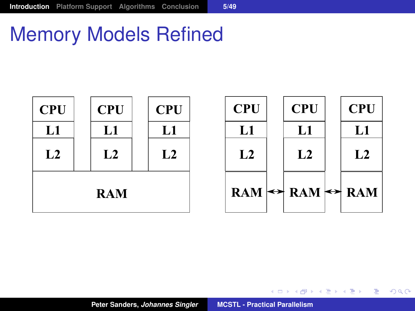## Memory Models Refined



<span id="page-6-0"></span>K ロ ▶ K 個 ▶ K 로 ▶ K 로 ▶ - 로 - K 9 Q @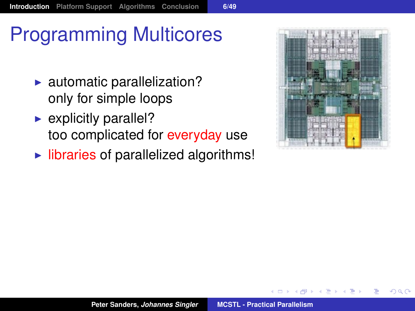# Programming Multicores

- $\blacktriangleright$  automatic parallelization? only for simple loops
- $\blacktriangleright$  explicitly parallel? too complicated for everyday use
- $\blacktriangleright$  libraries of parallelized algorithms!



 $QQ$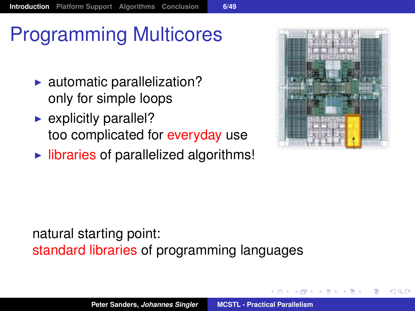# Programming Multicores

- $\blacktriangleright$  automatic parallelization? only for simple loops
- $\blacktriangleright$  explicitly parallel? too complicated for everyday use
- $\blacktriangleright$  libraries of parallelized algorithms!



 $QQ$ 

#### natural starting point: standard libraries of programming languages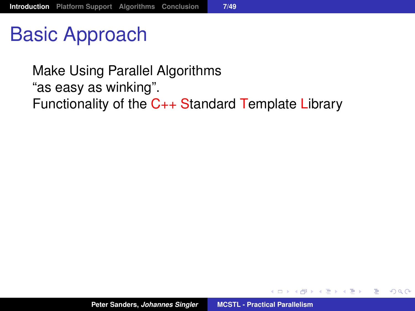Basic Approach

Make Using Parallel Algorithms "as easy as winking". Functionality of the C++ Standard Template Library

御 ▶ イ君 ▶ イ君 ▶ ..

重

 $298$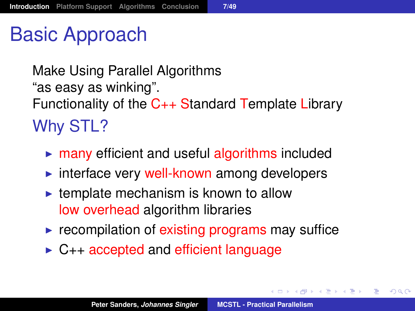## Basic Approach

Make Using Parallel Algorithms "as easy as winking". Functionality of the C++ Standard Template Library Why STL?

- $\triangleright$  many efficient and useful algorithms included
- $\triangleright$  interface very well-known among developers
- $\blacktriangleright$  template mechanism is known to allow low overhead algorithm libraries
- $\blacktriangleright$  recompilation of existing programs may suffice
- $\triangleright$  C<sub>++</sub> accepted and efficient language

す 御 メ イ 重 メ イ 重 メー

重

 $2Q$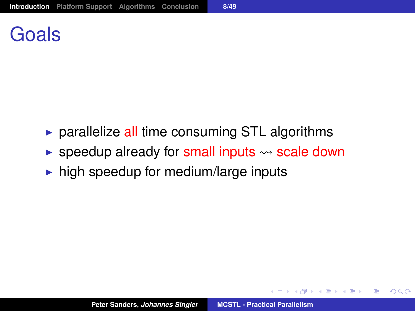## Goals

- $\triangleright$  parallelize all time consuming STL algorithms
- **Example 2** speedup already for small inputs  $\rightsquigarrow$  scale down
- $\blacktriangleright$  high speedup for medium/large inputs

す 御 メ イ 重 メ オ 重 メー

 $299$ 

重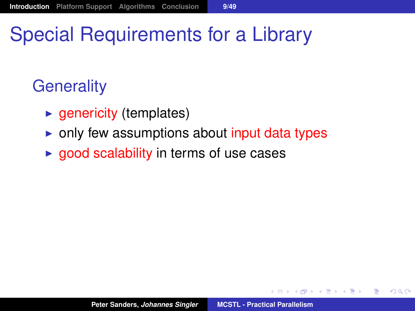# Special Requirements for a Library

## **Generality**

- $\blacktriangleright$  genericity (templates)
- $\triangleright$  only few assumptions about input data types
- $\rightarrow$  good scalability in terms of use cases

→ 唐米 4 唐米 1

重

 $2Q$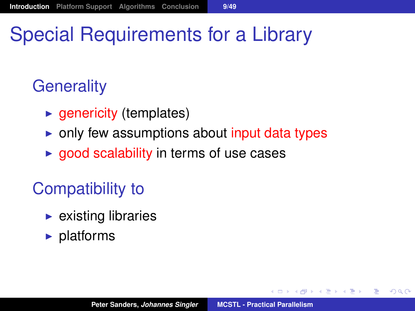# Special Requirements for a Library

## **Generality**

- $\blacktriangleright$  genericity (templates)
- $\triangleright$  only few assumptions about input data types
- $\rightarrow$  good scalability in terms of use cases

## Compatibility to

- $\blacktriangleright$  existing libraries
- $\blacktriangleright$  platforms

御 ▶ 4唐 ▶ 4唐 ▶ │

重  $2Q$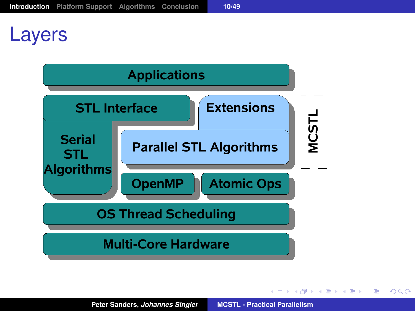## Layers



イロメ イ団メ イヨメ イヨメー

■ 1  $299$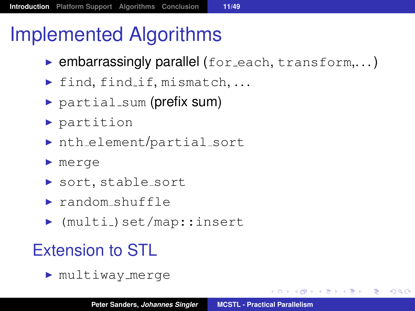# Implemented Algorithms

- $\blacktriangleright$  embarrassingly parallel (for each, transform,...)
- $\triangleright$  find, find if, mismatch, ...
- $\triangleright$  partial sum (prefix sum)
- $\blacktriangleright$  partition
- $\triangleright$  nth element/partial sort
- $\blacktriangleright$  merge
- ▶ sort, stable\_sort
- $\triangleright$  random shuffle
- $\blacktriangleright$  (multi\_)set/map::insert

## Extension to STL

 $\blacktriangleright$  multiway merge

( @ ) ( B ) ( B ) ( B ) ⊙ Q ⊙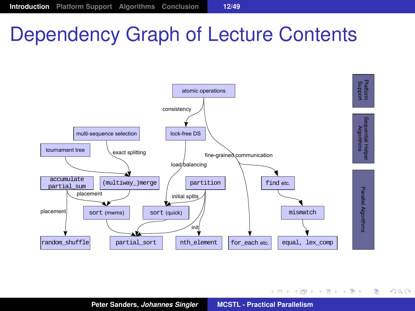# Dependency Graph of Lecture Contents



K ロ ▶ K 御 ▶ K 唐 ▶ K 唐 ▶ 『唐』

<span id="page-16-0"></span> $299$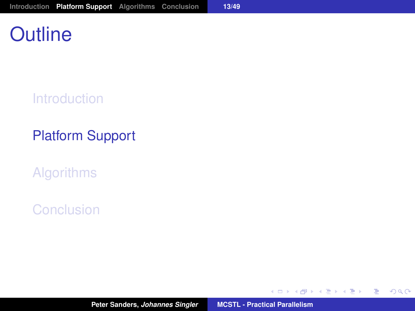## **Outline**

**[Introduction](#page-2-0)** 

#### [Platform Support](#page-17-0)

[Algorithms](#page-23-0)

[Conclusion](#page-56-0)

**Peter Sanders,** *Johannes Singler* **[MCSTL - Practical Parallelism](#page-0-0)**

イロメ イ部メ イヨメ イヨメー

<span id="page-17-0"></span>重。  $298$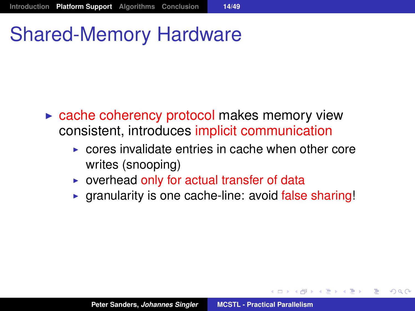## Shared-Memory Hardware

- $\triangleright$  cache coherency protocol makes memory view consistent, introduces implicit communication
	- $\triangleright$  cores invalidate entries in cache when other core writes (snooping)
	- $\triangleright$  overhead only for actual transfer of data
	- $\triangleright$  granularity is one cache-line: avoid false sharing!

제품 > 제품 > 1

Þ  $QQQ$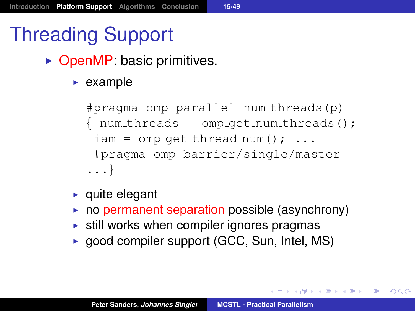# Threading Support

- $\triangleright$  OpenMP: basic primitives.
	- $\blacktriangleright$  example

```
#pragma omp parallel num threads(p)
\{ num threads = omp qet num threads();
 iam = comp_qet_thread_number(); ...
 #pragma omp barrier/single/master
...}
```
- $\blacktriangleright$  quite elegant
- $\triangleright$  no permanent separation possible (asynchrony)
- $\triangleright$  still works when compiler ignores pragmas
- $\triangleright$  good compiler support (GCC, Sun, Intel, MS)

<span id="page-19-0"></span>K ロ ▶ K 御 ▶ K 重 ▶ K 重 ▶ 三重 → 約 Q @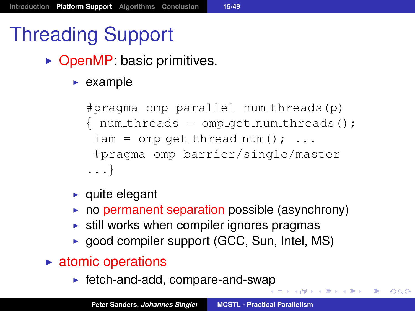# Threading Support

- $\triangleright$  OpenMP: basic primitives.
	- $\blacktriangleright$  example

```
#pragma omp parallel num threads(p)
\{ num threads = omp qet num threads();
 iam = comp_qet_thread_number(); ...
 #pragma omp barrier/single/master
...}
```
- $\blacktriangleright$  quite elegant
- $\triangleright$  no permanent separation possible (asynchrony)
- $\triangleright$  still works when compiler ignores pragmas
- $\triangleright$  good compiler support (GCC, Sun, Intel, MS)
- $\triangleright$  atomic operations
	- $\blacktriangleright$  fetch-and-add, compare-and-sw[ap](#page-19-0)

K ロ ▶ K @ ▶ K 로 ▶ K 로 ▶ - 로 - K 9 Q @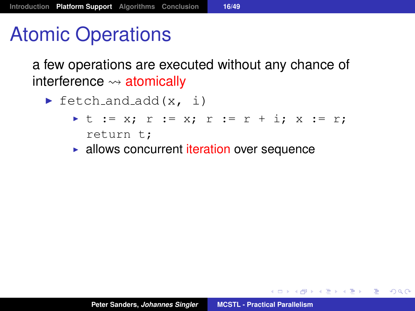## Atomic Operations

a few operations are executed without any chance of interference  $\rightsquigarrow$  atomically

- $\blacktriangleright$  fetch and add(x, i)
	- I t := x; r := x; r := r + i; x := r; return t;
	- $\blacktriangleright$  allows concurrent iteration over sequence

K ロ ▶ K 御 ▶ K 重 ▶ K 重 ▶ 三重 → 約 Q @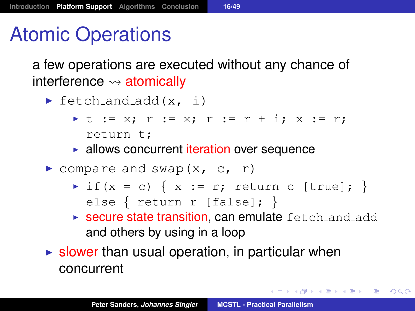# Atomic Operations

a few operations are executed without any chance of interference  $\rightsquigarrow$  atomically

- $\blacktriangleright$  fetch and add(x, i)
	- I t := x; r := x; r := r + i; x := r; return t;
	- $\blacktriangleright$  allows concurrent iteration over sequence
- $\triangleright$  compare and swap(x, c, r)
	- $\triangleright$  if(x = c) { x := r; return c [true]; } else { return r [false]; }
	- $\triangleright$  secure state transition, can emulate  $\texttt{fetch_and.add}$ and others by using in a loop

K ロ ▶ K 御 ▶ K 重 ▶ K 重 ▶ ○ 重 ◇ ⊙Q ⊙

 $\triangleright$  slower than usual operation, in particular when concurrent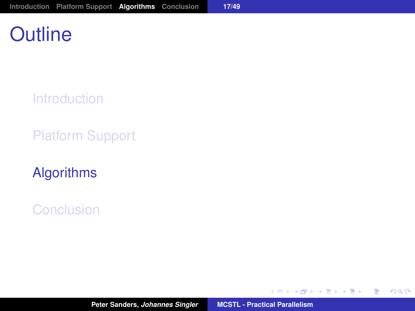## **Outline**

**[Introduction](#page-2-0)** 

[Platform Support](#page-17-0)

[Algorithms](#page-23-0)

[Conclusion](#page-56-0)

イロメ イ部メ イ君メ イ君メー

<span id="page-23-0"></span>重。  $298$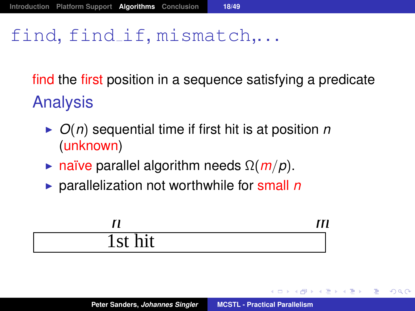### find, find if, mismatch...

find the first position in a sequence satisfying a predicate Analysis

- $\triangleright$  *O(n)* sequential time if first hit is at position *n* (unknown)
- **F** naïve parallel algorithm needs  $\Omega(m/p)$ .
- ▶ parallelization not worthwhile for small *n*

|                           | $\overline{ }$<br>$\prime\prime$ |
|---------------------------|----------------------------------|
| ٠<br>- 4<br>r.<br>TRE UIT |                                  |

→ 重き → 重き →

重  $QQQ$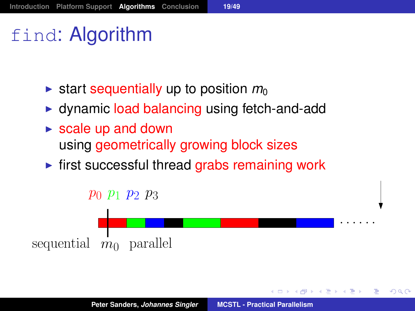## find: Algorithm

- $\triangleright$  start sequentially up to position  $m_0$
- $\rightarrow$  dynamic load balancing using fetch-and-add
- $\triangleright$  scale up and down using geometrically growing block sizes
- $\triangleright$  first successful thread grabs remaining work



 $QQ$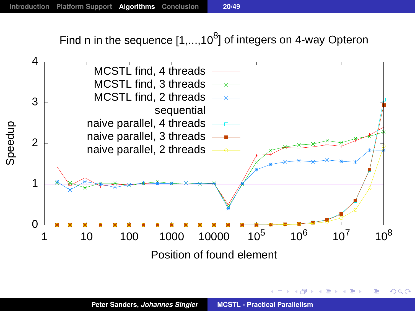Find n in the sequence  $[1,...,10^8]$  of integers on 4-way Opteron



 $2Q$ 

化重 经间重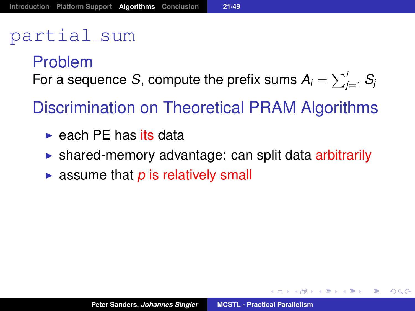#### partial sum

#### Problem For a sequence *S*, compute the prefix sums  $A_i = \sum_{j=1}^i S_j$

Discrimination on Theoretical PRAM Algorithms

- $\blacktriangleright$  each PE has its data
- $\triangleright$  shared-memory advantage: can split data arbitrarily
- $\triangleright$  assume that *p* is relatively small

K 御 と K 唐 と K 唐 と …

重  $2Q$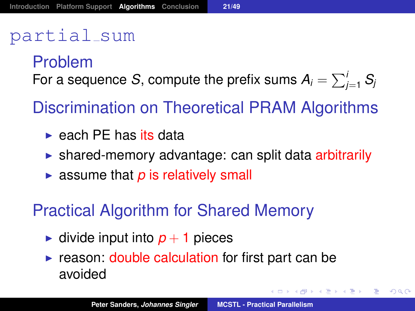#### partial sum

#### Problem For a sequence *S*, compute the prefix sums  $A_i = \sum_{j=1}^i S_j$

Discrimination on Theoretical PRAM Algorithms

- $\blacktriangleright$  each PE has its data
- $\triangleright$  shared-memory advantage: can split data arbitrarily
- $\triangleright$  assume that *p* is relatively small

#### Practical Algorithm for Shared Memory

- In divide input into  $p + 1$  pieces
- $\triangleright$  reason: double calculation for first part can be avoided

す 御 メ イ 重 メ オ 重 メート

画

 $2Q$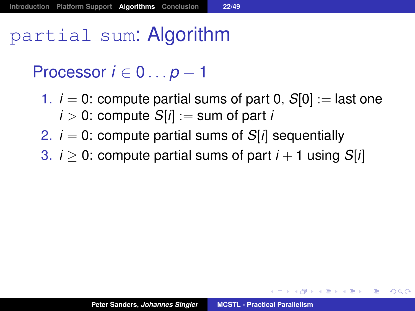partial sum: Algorithm

Processor *i* ∈ 0 . . . *p* − 1

- 1.  $i = 0$ : compute partial sums of part 0,  $S[0] :=$  last one  $i > 0$ : compute  $S[i] :=$  sum of part *i*
- 2.  $i = 0$ : compute partial sums of  $S[i]$  sequentially
- 3.  $i > 0$ : compute partial sums of part  $i + 1$  using  $S[i]$

イロト イ母 トイ ヨ トイ ヨ トー ヨー

 $2Q$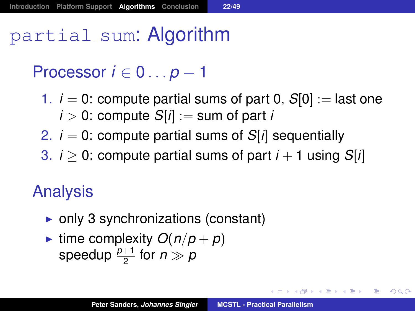partial sum: Algorithm

Processor *i* ∈ 0 . . . *p* − 1

- 1.  $i = 0$ : compute partial sums of part 0,  $S[0] :=$  last one  $i > 0$ : compute  $S[i] :=$  sum of part *i*
- 2.  $i = 0$ : compute partial sums of  $S[i]$  sequentially
- 3.  $i \geq 0$ : compute partial sums of part  $i + 1$  using  $S[i]$

#### Analysis

- $\triangleright$  only 3 synchronizations (constant)
- ime complexity  $O(n/p + p)$ speedup  $\frac{p+1}{2}$  for  $n \gg p$

K ロ ▶ K @ ▶ K 할 ▶ K 할 ▶ ( 할 ) - 이익어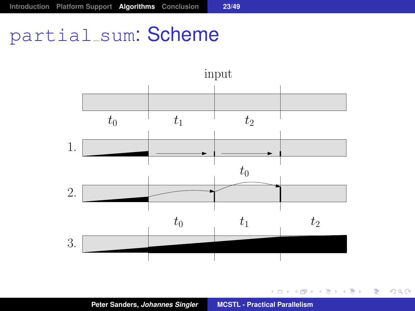## partial\_sum: Scheme



イロトメ 御 トメ き トメ き トー

■ 1  $298$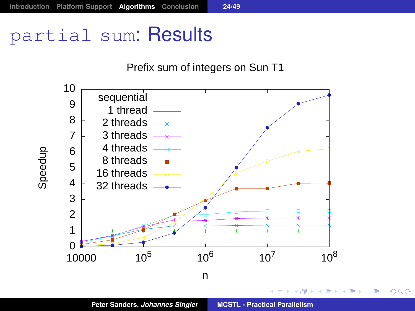## partial\_sum: Results



**Peter Sanders,** *Johannes Singler* **[MCSTL - Practical Parallelism](#page-0-0)**

重。  $299$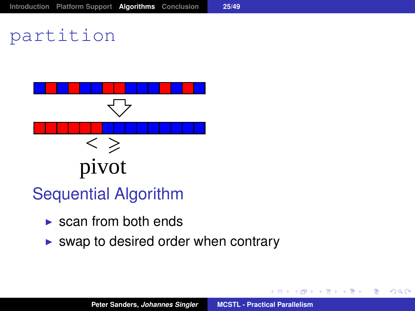## partition



- Sequential Algorithm
	- $\triangleright$  scan from both ends
	- $\triangleright$  swap to desired order when contrary

 $299$ 

重

メモメメモド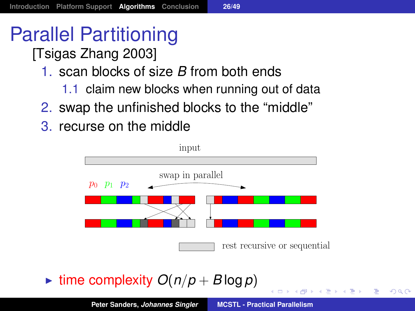# Parallel Partitioning

- [Tsigas Zhang 2003]
	- 1. scan blocks of size *B* from both ends
		- 1.1 claim new blocks when running out of data
	- 2. swap the unfinished blocks to the "middle"
	- 3. recurse on the middle



 $\triangleright$  time complexity  $O(n/p + B \log p)$ 

Þ  $QQQ$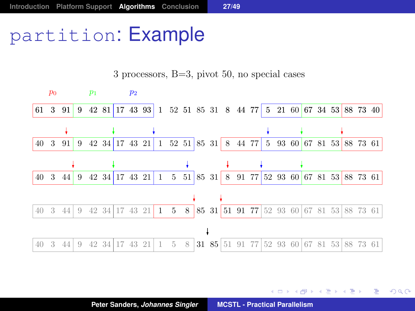## partition: Example

 $p_0$   $p_1$   $p_2$ 61 3 91 9 42 81 17 43 93 1 52 51 85 31 8 44 77 5 21 60 67 34 53 88 73 40 40 3 91 9 42 34 17 43 21 1 52 51 85 31 8 44 77 5 93 60 67 81 53 88 73 61 40 3 44 9 42 34 17 43 21 1 5 51 85 31 8 91 77 52 93 60 67 81 53 88 73 61 40 3 44 9 42 34 17 43 21 1 5 8 85 31 51 91 77 52 93 60 67 81 53 88 73 61 ł 40 3 44 9 42 34 17 43 21 1 5 8 31 85 51 91 77 52 93 60 67 81 53 88 73 61

3 processors, B=3, pivot 50, no special cases

重め 国連 めい

重

 $299$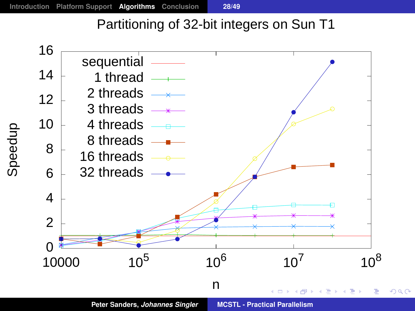#### Partitioning of 32-bit integers on Sun T1

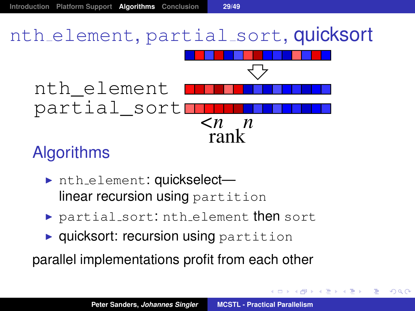# nth element, partial sort, quicksort



#### **Algorithms**

- ▶ nth\_element: quickselectlinear recursion using partition
- $\triangleright$  partial sort: nth element then sort
- $\rightarrow$  quicksort: recursion using partition

parallel implementations profit from each other

 $\left\{ \bigoplus_{i=1}^n \mathbb{1} \times \mathbb{1} \times \mathbb{1} \times \mathbb{1} \times \mathbb{1} \times \mathbb{1} \times \mathbb{1} \times \mathbb{1} \times \mathbb{1} \times \mathbb{1} \times \mathbb{1} \times \mathbb{1} \times \mathbb{1} \times \mathbb{1} \times \mathbb{1} \times \mathbb{1} \times \mathbb{1} \times \mathbb{1} \times \mathbb{1} \times \mathbb{1} \times \mathbb{1} \times \mathbb{1} \times \mathbb{1} \times \mathbb{1} \times \mathbb{1} \times \mathbb{1$ 

Þ

 $2Q$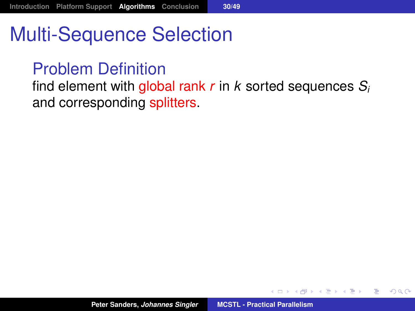## Multi-Sequence Selection

#### Problem Definition

find element with global rank *r* in *k* sorted sequences *S<sup>i</sup>* and corresponding splitters.

御 ▶ <唐 ▶ <唐 ▶

È.  $298$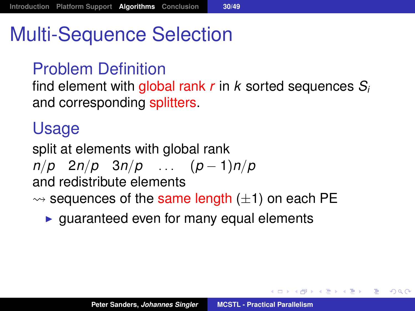# Multi-Sequence Selection

#### Problem Definition

find element with global rank *r* in *k* sorted sequences *S<sup>i</sup>* and corresponding splitters.

#### Usage

split at elements with global rank *n*/*p* 2*n*/*p* 3*n*/*p* . . . (*p* − 1)*n*/*p* and redistribute elements  $\rightsquigarrow$  sequences of the same length ( $\pm$ 1) on each PE

 $\triangleright$  guaranteed even for many equal elements

メタメメ きょくきょうき

 $2Q$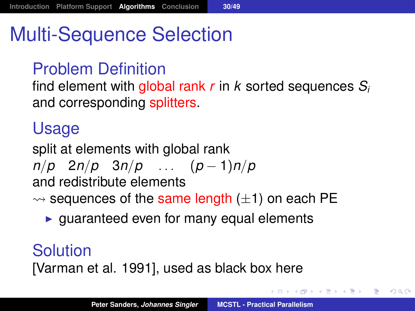## Multi-Sequence Selection

#### Problem Definition

find element with global rank *r* in *k* sorted sequences *S<sup>i</sup>* and corresponding splitters.

#### Usage

split at elements with global rank *n*/*p* 2*n*/*p* 3*n*/*p* . . . (*p* − 1)*n*/*p* and redistribute elements  $\rightsquigarrow$  sequences of the same length ( $\pm$ 1) on each PE

 $\triangleright$  guaranteed even for many equal elements

#### Solution

[Varman et al. 1991], used as black box here

イロン イ部ン イ君ン イ君ン 一番

 $2990$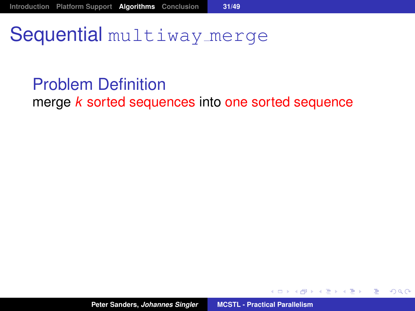## Sequential multiway merge

#### Problem Definition

merge *k* sorted sequences into one sorted sequence

御きメモメメモメー

 $299$ 

重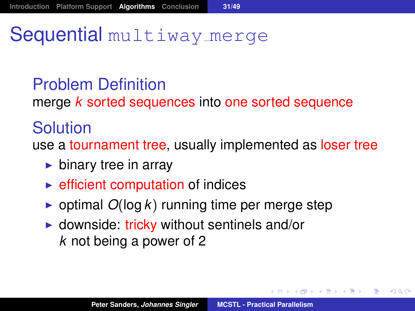## Sequential multiway merge

#### Problem Definition

merge *k* sorted sequences into one sorted sequence

#### Solution

use a tournament tree, usually implemented as loser tree

- $\blacktriangleright$  binary tree in array
- $\triangleright$  efficient computation of indices
- $\triangleright$  optimal  $O(\log k)$  running time per merge step
- $\triangleright$  downside: tricky without sentinels and/or *k* not being a power of 2

(御) メミンメミン

重

 $QQQ$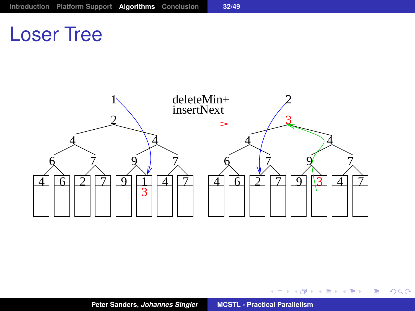## Loser Tree



 $2990$ 

イロン イ母ン イミン イヨン 一番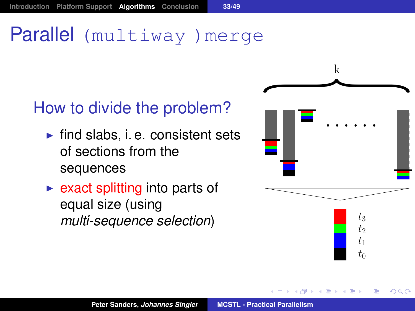## Parallel (multiway) merge

#### How to divide the problem?

- $\blacktriangleright$  find slabs, i. e. consistent sets of sections from the sequences
- $\triangleright$  exact splitting into parts of equal size (using *multi-sequence selection*)



 $\Omega$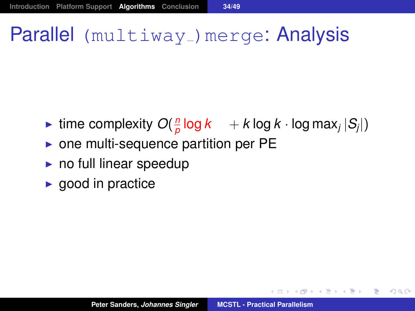## Parallel (multiway<sub>-</sub>)merge: Analysis

- ime complexity  $O(\frac{n}{a})$  $\frac{n}{\rho}$  log  $k$   $\;\; +$   $k$  log  $k$   $\cdot$  log max $_j$   $|\mathcal{S}_j|$   $\}$
- $\triangleright$  one multi-sequence partition per PE
- $\triangleright$  no full linear speedup
- $\blacktriangleright$  good in practice

す 御 メ オ 津 メ ス 唐 メー 唐 一

 $2990$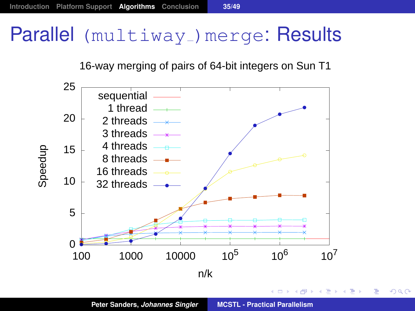## Parallel (multiway) merge: Results

#### 16-way merging of pairs of 64-bit integers on Sun T1



重

∢ 何

 $299$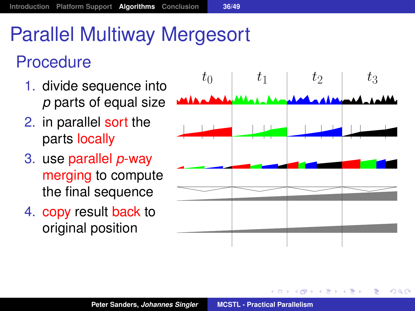# Parallel Multiway Mergesort

#### **Procedure**

- 1. divide sequence into *p* parts of equal size
- 2. in parallel sort the parts locally
- 3. use parallel *p*-way merging to compute the final sequence
- 4. copy result back to original position



 $2Q$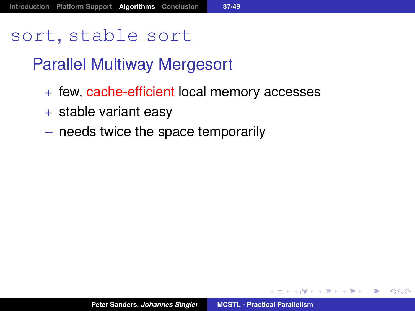#### sort, stable\_sort

#### Parallel Multiway Mergesort

- + few, cache-efficient local memory accesses
- $+$  stable variant easy
- needs twice the space temporarily

→ 唐米 4 唐米 1

重

<span id="page-48-0"></span> $298$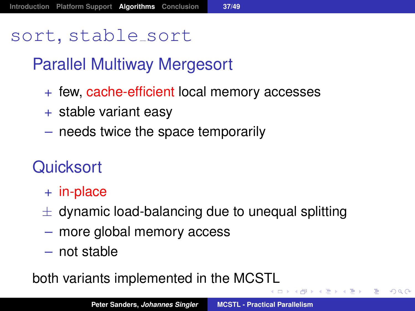#### sort, stable\_sort

#### Parallel Multiway Mergesort

- + few, cache-efficient local memory accesses
- + stable variant easy
- needs twice the space temporarily

#### **Quicksort**

- + in-place
- $\pm$  dynamic load-balancing due to unequal splitting
- more global memory access
- not stable

both variants implemented in the MCS[TL](#page-48-0)

④ 重 ※ ④ 重 ※ ○ 重

 $2990$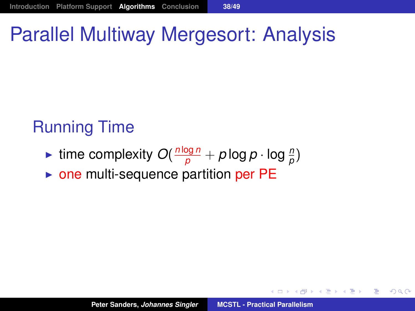# Parallel Multiway Mergesort: Analysis

### Running Time

- **Figure in the complexity**  $O(\frac{n \log n}{p} + p \log p \cdot \log \frac{n}{p})$
- $\triangleright$  one multi-sequence partition per PE

(御) (言) (言)

重  $2Q$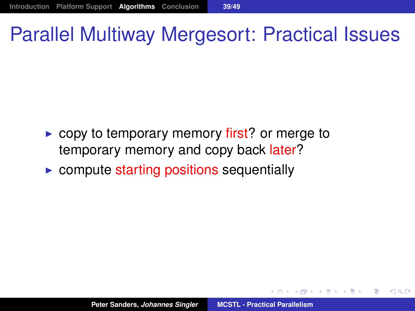## Parallel Multiway Mergesort: Practical Issues

- $\triangleright$  copy to temporary memory first? or merge to temporary memory and copy back later?
- $\triangleright$  compute starting positions sequentially

医单位 医单位

Þ  $QQQ$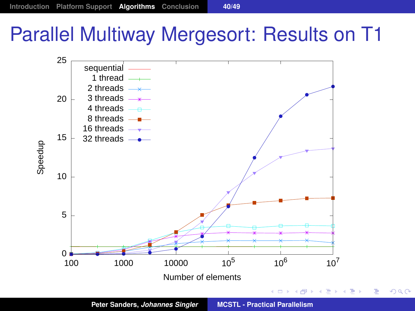# Parallel Multiway Mergesort: Results on T1

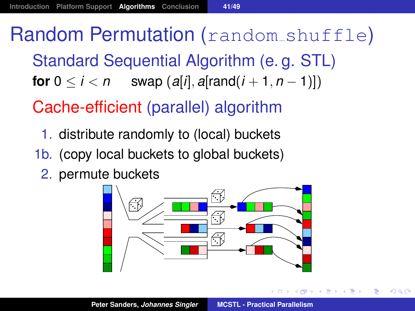Random Permutation (random shuffle) Standard Sequential Algorithm (e. g. STL) **for**  $0 \le i \le n$  swap  $\left(\frac{a[i]}{n}, \frac{a[\text{rand}(i+1, n-1)]}{n}\right)$ Cache-efficient (parallel) algorithm

- 1. distribute randomly to (local) buckets
- 1b. (copy local buckets to global buckets)
	- 2. permute buckets



 $299$ 

化重复化重复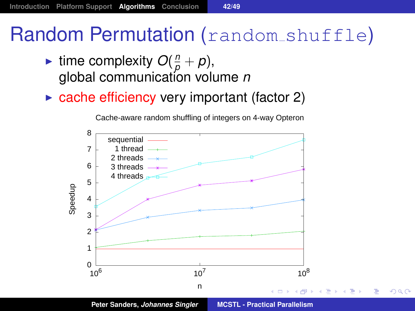## Random Permutation (random shuffle)

- If time complexity  $O(\frac{n}{p}+p)$ , global communication volume *n*
- $\triangleright$  cache efficiency very important (factor 2)



 $299$ 

Cache-aware random shuffling of integers on 4-way Opteron

**Peter Sanders,** *Johannes Singler* **[MCSTL - Practical Parallelism](#page-0-0)**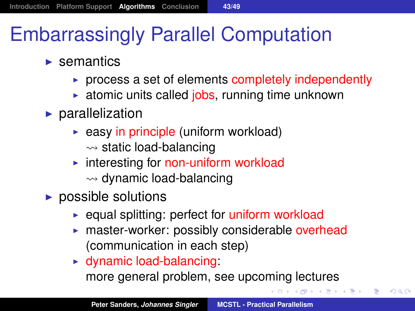# Embarrassingly Parallel Computation

- $\blacktriangleright$  semantics
	- $\triangleright$  process a set of elements completely independently
	- $\triangleright$  atomic units called jobs, running time unknown
- $\blacktriangleright$  parallelization
	- $\rightarrow$  easy in principle (uniform workload)  $\rightsquigarrow$  static load-balancing
	- $\triangleright$  interesting for non-uniform workload  $\rightsquigarrow$  dynamic load-balancing
- $\blacktriangleright$  possible solutions
	- $\triangleright$  equal splitting: perfect for uniform workload
	- $\triangleright$  master-worker: possibly considerable overhead (communication in each step)
	- $\blacktriangleright$  dynamic load-balancing: more general problem, see upcoming lectures

▶ 제품 > 제품 > 이름이 90 Q Q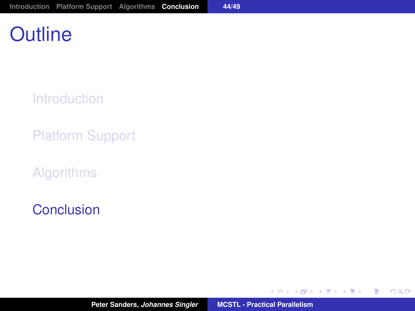## **Outline**

**[Introduction](#page-2-0)** 

[Platform Support](#page-17-0)

[Algorithms](#page-23-0)

[Conclusion](#page-56-0)

イロメ イ部メ イヨメ イヨメー

<span id="page-56-0"></span>重。  $298$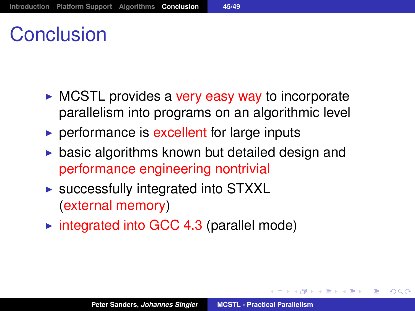## Conclusion

- $\triangleright$  MCSTL provides a very easy way to incorporate parallelism into programs on an algorithmic level
- $\triangleright$  performance is excellent for large inputs
- basic algorithms known but detailed design and performance engineering nontrivial
- $\triangleright$  successfully integrated into STXXL (external memory)
- $\triangleright$  integrated into GCC 4.3 (parallel mode)

(御) (唐) (唐))

重

 $QQ$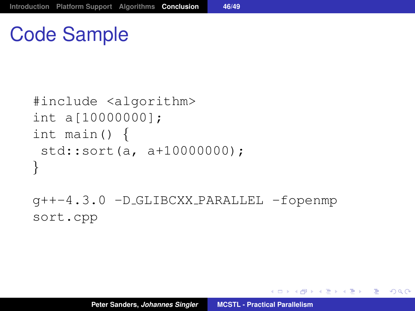## Code Sample

```
#include <algorithm>
int a[10000000];
int main() {
 std::sort(a, a+10000000);
}
```
g++-4.3.0 -D GLIBCXX PARALLEL -fopenmp sort.cpp

K ロ ▶ K 御 ▶ K 重 ▶ K 重 ▶ 三重 → 約 Q @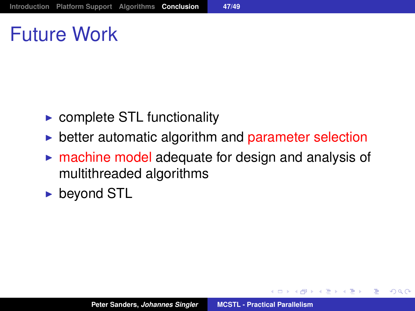## Future Work

- $\triangleright$  complete STL functionality
- $\triangleright$  better automatic algorithm and parameter selection
- $\triangleright$  machine model adequate for design and analysis of multithreaded algorithms
- $\blacktriangleright$  beyond STL

→ 重き → 重き →

重

 $2Q$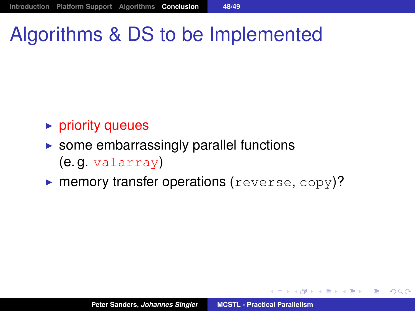# Algorithms & DS to be Implemented

#### $\triangleright$  priority queues

- $\triangleright$  some embarrassingly parallel functions (e. g. valarray)
- $\triangleright$  memory transfer operations (reverse, copy)?

◆ 御 \* \* 唐 \* \* 唐 \* …

造っ  $2Q$